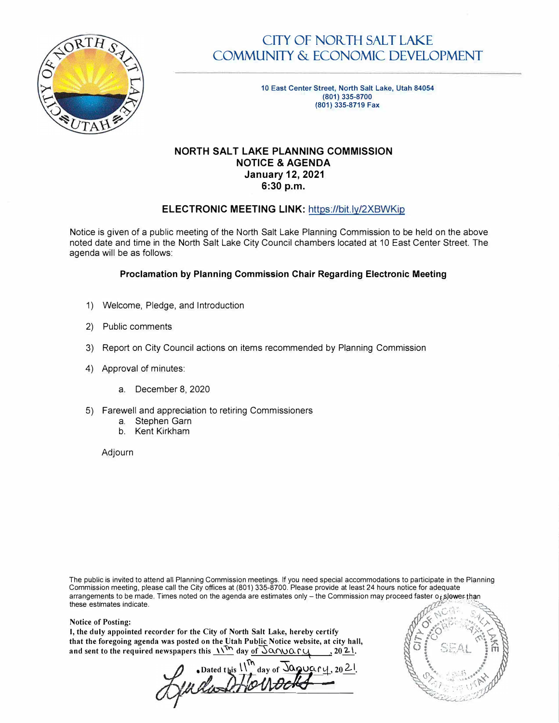

# CITY OF NORTH SALT LAKE COMMUNITY & ECONOMIC DEVELOPMENT

10 **East Center Street, North Salt Lake, Utah 84054**  (801) **335-8700 (801) 335-8719 Fax**

### **NORTH SALT LAKE PLANNING COMMISSION NOTICE & AGENDA January 12, 2021 6:30 p.m.**

## **ELECTRONIC MEETING LINK:** <https://bit.ly/2XBWKip>

Notice is given of a public meeting of the North Salt Lake Planning Commission to be held on the above noted date and time in the North Salt Lake City Council chambers located at 10 East Center Street. The agenda will be as follows:

#### **Proclamation by Planning Commission Chair Regarding Electronic Meeting**

- 1) Welcome, Pledge, and Introduction
- 2) Public comments
- 3) Report on City Council actions on items recommended by Planning Commission
- 4) Approval of minutes:
	- a. December 8, 2020
- 5) Farewell and appreciation to retiring Commissioners
	- a. Stephen Garn
	- b. Kent Kirkham

Adjourn

The public is invited to attend all Planning Commission meetings. If you need special accommodations to participate in the Planning Commission meeting, please call the City offices at (801) 335-8700. Please provide at least 24 hours notice for adequate arrangements to be made. Times noted on the agenda are estimates only – the Commission may proceed faster or slower than<br>these estimates indicate. these estimates indicate.  $, \,$  $\mathbb{P}^{\mathbb{C}^n+1}$  . s.

**70% X** 

**REAL 12** 

Notice of Posting:  $\mathcal{P}^{\mathcal{P}}$ **I, the duly appointed recorder for the City of North Salt Lake, hereby certify**  $\begin{pmatrix} 0 & 0 \\ 0 & 0 \end{pmatrix}$  $\begin{pmatrix} 0 & 0 \\ 0 & 0 \end{pmatrix}$ that the foregoing agenda was posted on the Utah Public Notice website, at city hall,<br>and sent to the required newspapers this  $\frac{1}{\sqrt{6}}$  day of  $\sqrt{6}$  and sent to the required newspapers this  $\frac{1}{\sqrt{6}}$  day of  $\sqrt{6$  $\frac{\pi}{2}$ .  $\frac{\pi}{2}$   $\frac{3\pi}{4}$ .  $\frac{\pi}{2}$  .  $\frac{\pi}{2}$ 

**.** Dated this  $\lim_{n \to \infty} \frac{1}{n} \int_{0}^{1/n} \text{day of } \sqrt{\frac{1}{n} \sum_{k=1}^{n} \frac{1}{k}}$ *,.,,111* n \_ \_ \_. **;,� ••.. -: ,::,.•••�** *;,V\..J-i���L.l.�l.Y'�V�W* /,,•, '" ,, \\" *.::...:'.◄:\_\_\_-=.\_\_\_\_* .. *I - • .-� ',..\ 1 -----��---�-�:*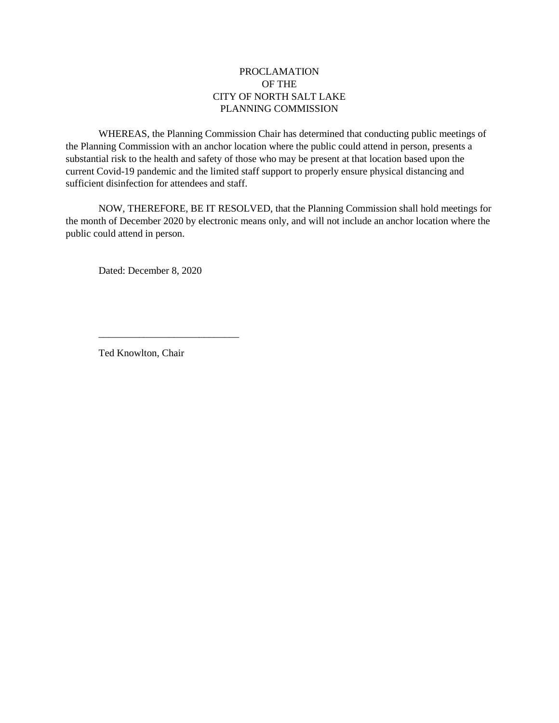### PROCLAMATION OF THE CITY OF NORTH SALT LAKE PLANNING COMMISSION

WHEREAS, the Planning Commission Chair has determined that conducting public meetings of the Planning Commission with an anchor location where the public could attend in person, presents a substantial risk to the health and safety of those who may be present at that location based upon the current Covid-19 pandemic and the limited staff support to properly ensure physical distancing and sufficient disinfection for attendees and staff.

NOW, THEREFORE, BE IT RESOLVED, that the Planning Commission shall hold meetings for the month of December 2020 by electronic means only, and will not include an anchor location where the public could attend in person.

Dated: December 8, 2020

Ted Knowlton, Chair

\_\_\_\_\_\_\_\_\_\_\_\_\_\_\_\_\_\_\_\_\_\_\_\_\_\_\_\_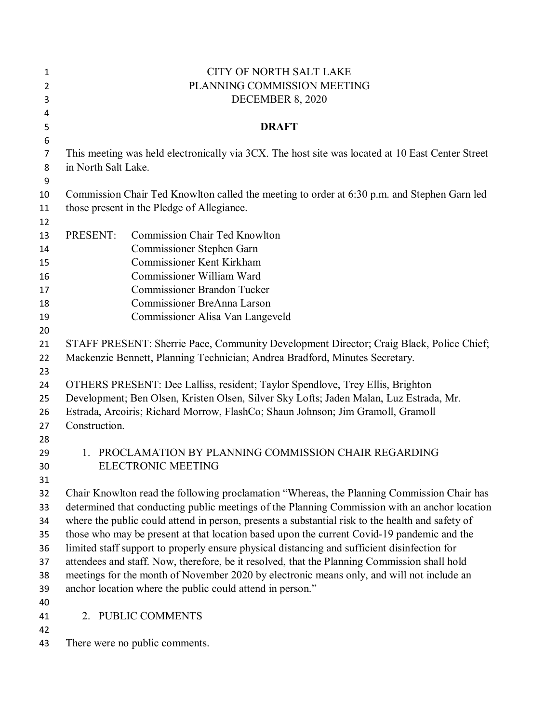| 1              |                                                                                              | <b>CITY OF NORTH SALT LAKE</b>                                                                                                                                         |
|----------------|----------------------------------------------------------------------------------------------|------------------------------------------------------------------------------------------------------------------------------------------------------------------------|
| $\overline{2}$ |                                                                                              | PLANNING COMMISSION MEETING                                                                                                                                            |
| 3              |                                                                                              | DECEMBER 8, 2020                                                                                                                                                       |
| 4              |                                                                                              |                                                                                                                                                                        |
| 5              |                                                                                              | <b>DRAFT</b>                                                                                                                                                           |
| 6              |                                                                                              |                                                                                                                                                                        |
| 7              |                                                                                              | This meeting was held electronically via 3CX. The host site was located at 10 East Center Street                                                                       |
| 8              | in North Salt Lake.                                                                          |                                                                                                                                                                        |
| 9              |                                                                                              |                                                                                                                                                                        |
| 10             | Commission Chair Ted Knowlton called the meeting to order at 6:30 p.m. and Stephen Garn led  |                                                                                                                                                                        |
| 11             |                                                                                              | those present in the Pledge of Allegiance.                                                                                                                             |
| 12             |                                                                                              |                                                                                                                                                                        |
| 13             | PRESENT:                                                                                     | <b>Commission Chair Ted Knowlton</b>                                                                                                                                   |
| 14             |                                                                                              | Commissioner Stephen Garn                                                                                                                                              |
| 15             |                                                                                              | <b>Commissioner Kent Kirkham</b>                                                                                                                                       |
| 16             |                                                                                              | Commissioner William Ward                                                                                                                                              |
| 17             |                                                                                              | <b>Commissioner Brandon Tucker</b>                                                                                                                                     |
| 18             |                                                                                              | Commissioner BreAnna Larson                                                                                                                                            |
| 19             |                                                                                              | Commissioner Alisa Van Langeveld                                                                                                                                       |
| 20             |                                                                                              |                                                                                                                                                                        |
| 21<br>22       |                                                                                              | STAFF PRESENT: Sherrie Pace, Community Development Director; Craig Black, Police Chief;<br>Mackenzie Bennett, Planning Technician; Andrea Bradford, Minutes Secretary. |
| 23             |                                                                                              |                                                                                                                                                                        |
| 24             |                                                                                              | OTHERS PRESENT: Dee Lalliss, resident; Taylor Spendlove, Trey Ellis, Brighton                                                                                          |
| 25             |                                                                                              | Development; Ben Olsen, Kristen Olsen, Silver Sky Lofts; Jaden Malan, Luz Estrada, Mr.                                                                                 |
| 26             | Estrada, Arcoiris; Richard Morrow, FlashCo; Shaun Johnson; Jim Gramoll, Gramoll              |                                                                                                                                                                        |
| 27             | Construction.                                                                                |                                                                                                                                                                        |
| 28             |                                                                                              |                                                                                                                                                                        |
| 29             | $1_{-}$                                                                                      | PROCLAMATION BY PLANNING COMMISSION CHAIR REGARDING                                                                                                                    |
| 30             |                                                                                              | <b>ELECTRONIC MEETING</b>                                                                                                                                              |
| 31             |                                                                                              |                                                                                                                                                                        |
| 32             |                                                                                              | Chair Knowlton read the following proclamation "Whereas, the Planning Commission Chair has                                                                             |
| 33             |                                                                                              | determined that conducting public meetings of the Planning Commission with an anchor location                                                                          |
| 34             |                                                                                              | where the public could attend in person, presents a substantial risk to the health and safety of                                                                       |
| 35             | those who may be present at that location based upon the current Covid-19 pandemic and the   |                                                                                                                                                                        |
| 36             | limited staff support to properly ensure physical distancing and sufficient disinfection for |                                                                                                                                                                        |
| 37             | attendees and staff. Now, therefore, be it resolved, that the Planning Commission shall hold |                                                                                                                                                                        |
| 38             | meetings for the month of November 2020 by electronic means only, and will not include an    |                                                                                                                                                                        |
| 39             | anchor location where the public could attend in person."                                    |                                                                                                                                                                        |
| 40             |                                                                                              |                                                                                                                                                                        |
| 41             |                                                                                              | 2. PUBLIC COMMENTS                                                                                                                                                     |
| 42             |                                                                                              |                                                                                                                                                                        |
| 43             |                                                                                              | There were no public comments.                                                                                                                                         |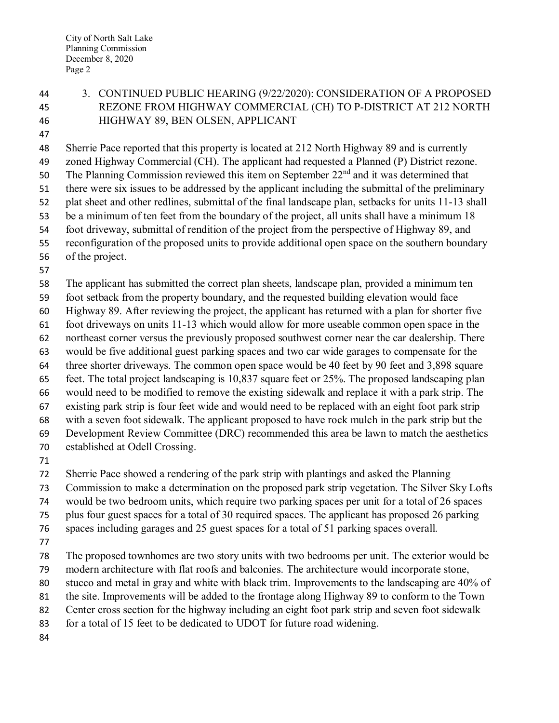# 3. CONTINUED PUBLIC HEARING (9/22/2020): CONSIDERATION OF A PROPOSED REZONE FROM HIGHWAY COMMERCIAL (CH) TO P-DISTRICT AT 212 NORTH HIGHWAY 89, BEN OLSEN, APPLICANT

Sherrie Pace reported that this property is located at 212 North Highway 89 and is currently

 zoned Highway Commercial (CH). The applicant had requested a Planned (P) District rezone. 50 The Planning Commission reviewed this item on September  $22<sup>nd</sup>$  and it was determined that

there were six issues to be addressed by the applicant including the submittal of the preliminary

plat sheet and other redlines, submittal of the final landscape plan, setbacks for units 11-13 shall

be a minimum of ten feet from the boundary of the project, all units shall have a minimum 18

foot driveway, submittal of rendition of the project from the perspective of Highway 89, and

reconfiguration of the proposed units to provide additional open space on the southern boundary

- of the project.
- 

 The applicant has submitted the correct plan sheets, landscape plan, provided a minimum ten foot setback from the property boundary, and the requested building elevation would face

Highway 89. After reviewing the project, the applicant has returned with a plan for shorter five

foot driveways on units 11-13 which would allow for more useable common open space in the

northeast corner versus the previously proposed southwest corner near the car dealership. There

would be five additional guest parking spaces and two car wide garages to compensate for the

three shorter driveways. The common open space would be 40 feet by 90 feet and 3,898 square

feet. The total project landscaping is 10,837 square feet or 25%. The proposed landscaping plan

would need to be modified to remove the existing sidewalk and replace it with a park strip. The

existing park strip is four feet wide and would need to be replaced with an eight foot park strip

with a seven foot sidewalk. The applicant proposed to have rock mulch in the park strip but the

Development Review Committee (DRC) recommended this area be lawn to match the aesthetics

- established at Odell Crossing.
- 

Sherrie Pace showed a rendering of the park strip with plantings and asked the Planning

Commission to make a determination on the proposed park strip vegetation. The Silver Sky Lofts

would be two bedroom units, which require two parking spaces per unit for a total of 26 spaces

plus four guest spaces for a total of 30 required spaces. The applicant has proposed 26 parking

spaces including garages and 25 guest spaces for a total of 51 parking spaces overall.

The proposed townhomes are two story units with two bedrooms per unit. The exterior would be

modern architecture with flat roofs and balconies. The architecture would incorporate stone,

stucco and metal in gray and white with black trim. Improvements to the landscaping are 40% of

the site. Improvements will be added to the frontage along Highway 89 to conform to the Town

Center cross section for the highway including an eight foot park strip and seven foot sidewalk

for a total of 15 feet to be dedicated to UDOT for future road widening.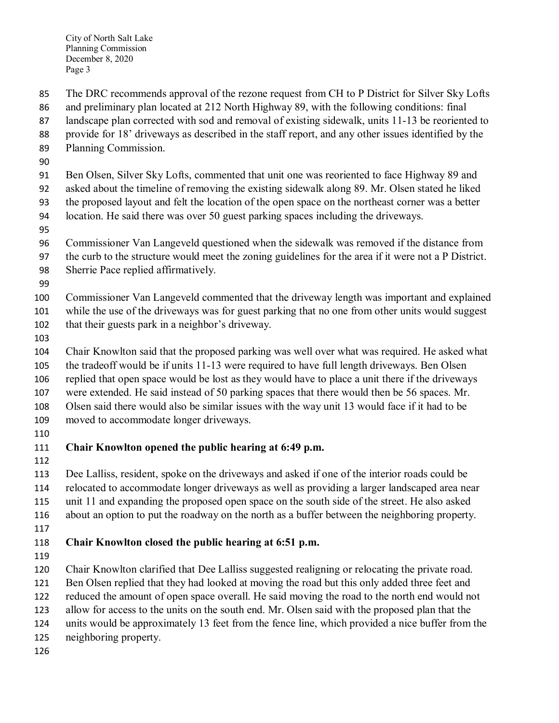The DRC recommends approval of the rezone request from CH to P District for Silver Sky Lofts

- and preliminary plan located at 212 North Highway 89, with the following conditions: final
- landscape plan corrected with sod and removal of existing sidewalk, units 11-13 be reoriented to
- provide for 18' driveways as described in the staff report, and any other issues identified by the
- Planning Commission.
- 

Ben Olsen, Silver Sky Lofts, commented that unit one was reoriented to face Highway 89 and

asked about the timeline of removing the existing sidewalk along 89. Mr. Olsen stated he liked

- the proposed layout and felt the location of the open space on the northeast corner was a better
- location. He said there was over 50 guest parking spaces including the driveways.
- 
- Commissioner Van Langeveld questioned when the sidewalk was removed if the distance from
- the curb to the structure would meet the zoning guidelines for the area if it were not a P District.
- Sherrie Pace replied affirmatively.
- 

Commissioner Van Langeveld commented that the driveway length was important and explained

while the use of the driveways was for guest parking that no one from other units would suggest

- that their guests park in a neighbor's driveway.
- 

 Chair Knowlton said that the proposed parking was well over what was required. He asked what the tradeoff would be if units 11-13 were required to have full length driveways. Ben Olsen replied that open space would be lost as they would have to place a unit there if the driveways were extended. He said instead of 50 parking spaces that there would then be 56 spaces. Mr.

Olsen said there would also be similar issues with the way unit 13 would face if it had to be

- moved to accommodate longer driveways.
- 

# **Chair Knowlton opened the public hearing at 6:49 p.m.**

 Dee Lalliss, resident, spoke on the driveways and asked if one of the interior roads could be relocated to accommodate longer driveways as well as providing a larger landscaped area near unit 11 and expanding the proposed open space on the south side of the street. He also asked about an option to put the roadway on the north as a buffer between the neighboring property. 

# **Chair Knowlton closed the public hearing at 6:51 p.m.**

Chair Knowlton clarified that Dee Lalliss suggested realigning or relocating the private road.

Ben Olsen replied that they had looked at moving the road but this only added three feet and

reduced the amount of open space overall. He said moving the road to the north end would not

allow for access to the units on the south end. Mr. Olsen said with the proposed plan that the

units would be approximately 13 feet from the fence line, which provided a nice buffer from the

neighboring property.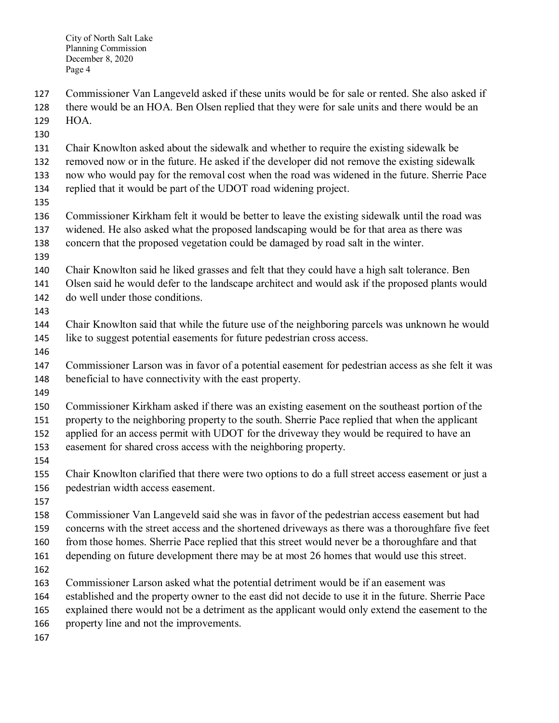Commissioner Van Langeveld asked if these units would be for sale or rented. She also asked if

- there would be an HOA. Ben Olsen replied that they were for sale units and there would be an HOA.
- 
- Chair Knowlton asked about the sidewalk and whether to require the existing sidewalk be
- removed now or in the future. He asked if the developer did not remove the existing sidewalk
- now who would pay for the removal cost when the road was widened in the future. Sherrie Pace
- replied that it would be part of the UDOT road widening project.
- 
- Commissioner Kirkham felt it would be better to leave the existing sidewalk until the road was widened. He also asked what the proposed landscaping would be for that area as there was concern that the proposed vegetation could be damaged by road salt in the winter.
- 
- Chair Knowlton said he liked grasses and felt that they could have a high salt tolerance. Ben
- Olsen said he would defer to the landscape architect and would ask if the proposed plants would do well under those conditions.
- 
- Chair Knowlton said that while the future use of the neighboring parcels was unknown he would like to suggest potential easements for future pedestrian cross access.
- 
- Commissioner Larson was in favor of a potential easement for pedestrian access as she felt it was beneficial to have connectivity with the east property.
- 

 Commissioner Kirkham asked if there was an existing easement on the southeast portion of the property to the neighboring property to the south. Sherrie Pace replied that when the applicant applied for an access permit with UDOT for the driveway they would be required to have an

- easement for shared cross access with the neighboring property.
- 
- Chair Knowlton clarified that there were two options to do a full street access easement or just a pedestrian width access easement.
- 

 Commissioner Van Langeveld said she was in favor of the pedestrian access easement but had concerns with the street access and the shortened driveways as there was a thoroughfare five feet

- from those homes. Sherrie Pace replied that this street would never be a thoroughfare and that
- 161 depending on future development there may be at most 26 homes that would use this street.
- 
- Commissioner Larson asked what the potential detriment would be if an easement was
- established and the property owner to the east did not decide to use it in the future. Sherrie Pace
- explained there would not be a detriment as the applicant would only extend the easement to the
- property line and not the improvements.
-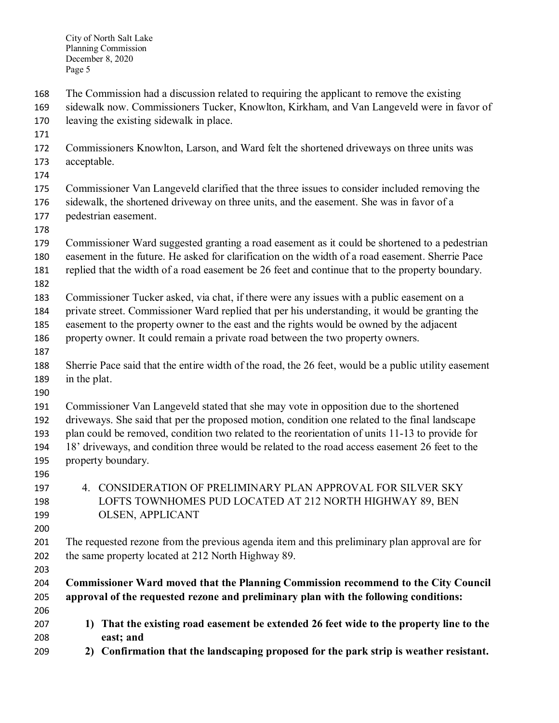The Commission had a discussion related to requiring the applicant to remove the existing

- sidewalk now. Commissioners Tucker, Knowlton, Kirkham, and Van Langeveld were in favor of leaving the existing sidewalk in place.
- 
- Commissioners Knowlton, Larson, and Ward felt the shortened driveways on three units was acceptable.
- 
- Commissioner Van Langeveld clarified that the three issues to consider included removing the
- sidewalk, the shortened driveway on three units, and the easement. She was in favor of a pedestrian easement.
- 
- Commissioner Ward suggested granting a road easement as it could be shortened to a pedestrian easement in the future. He asked for clarification on the width of a road easement. Sherrie Pace
- replied that the width of a road easement be 26 feet and continue that to the property boundary.
- Commissioner Tucker asked, via chat, if there were any issues with a public easement on a
- private street. Commissioner Ward replied that per his understanding, it would be granting the
- easement to the property owner to the east and the rights would be owned by the adjacent
- property owner. It could remain a private road between the two property owners.
- Sherrie Pace said that the entire width of the road, the 26 feet, would be a public utility easement in the plat.
- 

 Commissioner Van Langeveld stated that she may vote in opposition due to the shortened driveways. She said that per the proposed motion, condition one related to the final landscape plan could be removed, condition two related to the reorientation of units 11-13 to provide for

- 18' driveways, and condition three would be related to the road access easement 26 feet to the property boundary.
- 
- 4. CONSIDERATION OF PRELIMINARY PLAN APPROVAL FOR SILVER SKY LOFTS TOWNHOMES PUD LOCATED AT 212 NORTH HIGHWAY 89, BEN OLSEN, APPLICANT
- 

 The requested rezone from the previous agenda item and this preliminary plan approval are for the same property located at 212 North Highway 89.

## **Commissioner Ward moved that the Planning Commission recommend to the City Council approval of the requested rezone and preliminary plan with the following conditions:**

- **1) That the existing road easement be extended 26 feet wide to the property line to the east; and**
- **2) Confirmation that the landscaping proposed for the park strip is weather resistant.**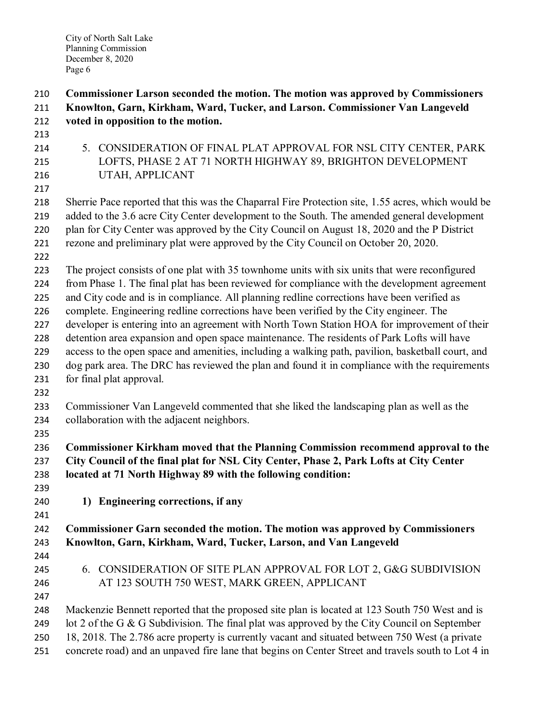| 210 | Commissioner Larson seconded the motion. The motion was approved by Commissioners                  |  |  |
|-----|----------------------------------------------------------------------------------------------------|--|--|
| 211 | Knowlton, Garn, Kirkham, Ward, Tucker, and Larson. Commissioner Van Langeveld                      |  |  |
| 212 | voted in opposition to the motion.                                                                 |  |  |
| 213 |                                                                                                    |  |  |
| 214 | 5. CONSIDERATION OF FINAL PLAT APPROVAL FOR NSL CITY CENTER, PARK                                  |  |  |
| 215 | LOFTS, PHASE 2 AT 71 NORTH HIGHWAY 89, BRIGHTON DEVELOPMENT                                        |  |  |
| 216 | UTAH, APPLICANT                                                                                    |  |  |
| 217 |                                                                                                    |  |  |
| 218 | Sherrie Pace reported that this was the Chaparral Fire Protection site, 1.55 acres, which would be |  |  |
| 219 | added to the 3.6 acre City Center development to the South. The amended general development        |  |  |
| 220 | plan for City Center was approved by the City Council on August 18, 2020 and the P District        |  |  |
| 221 | rezone and preliminary plat were approved by the City Council on October 20, 2020.                 |  |  |
| 222 |                                                                                                    |  |  |
| 223 | The project consists of one plat with 35 townhome units with six units that were reconfigured      |  |  |
| 224 | from Phase 1. The final plat has been reviewed for compliance with the development agreement       |  |  |
| 225 | and City code and is in compliance. All planning redline corrections have been verified as         |  |  |
| 226 | complete. Engineering redline corrections have been verified by the City engineer. The             |  |  |
| 227 | developer is entering into an agreement with North Town Station HOA for improvement of their       |  |  |
| 228 | detention area expansion and open space maintenance. The residents of Park Lofts will have         |  |  |
| 229 | access to the open space and amenities, including a walking path, pavilion, basketball court, and  |  |  |
| 230 | dog park area. The DRC has reviewed the plan and found it in compliance with the requirements      |  |  |
| 231 | for final plat approval.                                                                           |  |  |
| 232 |                                                                                                    |  |  |
| 233 | Commissioner Van Langeveld commented that she liked the landscaping plan as well as the            |  |  |
| 234 | collaboration with the adjacent neighbors.                                                         |  |  |
| 235 |                                                                                                    |  |  |
| 236 | Commissioner Kirkham moved that the Planning Commission recommend approval to the                  |  |  |
| 237 | City Council of the final plat for NSL City Center, Phase 2, Park Lofts at City Center             |  |  |
| 238 | located at 71 North Highway 89 with the following condition:                                       |  |  |
| 239 |                                                                                                    |  |  |
| 240 | 1) Engineering corrections, if any                                                                 |  |  |
| 241 |                                                                                                    |  |  |
| 242 | Commissioner Garn seconded the motion. The motion was approved by Commissioners                    |  |  |
| 243 | Knowlton, Garn, Kirkham, Ward, Tucker, Larson, and Van Langeveld                                   |  |  |
| 244 |                                                                                                    |  |  |
| 245 | 6. CONSIDERATION OF SITE PLAN APPROVAL FOR LOT 2, G&G SUBDIVISION                                  |  |  |
| 246 | AT 123 SOUTH 750 WEST, MARK GREEN, APPLICANT                                                       |  |  |
| 247 |                                                                                                    |  |  |
| 248 | Mackenzie Bennett reported that the proposed site plan is located at 123 South 750 West and is     |  |  |
| 249 | lot 2 of the G & G Subdivision. The final plat was approved by the City Council on September       |  |  |
| 250 | 18, 2018. The 2.786 acre property is currently vacant and situated between 750 West (a private     |  |  |
| 251 | concrete road) and an unpaved fire lane that begins on Center Street and travels south to Lot 4 in |  |  |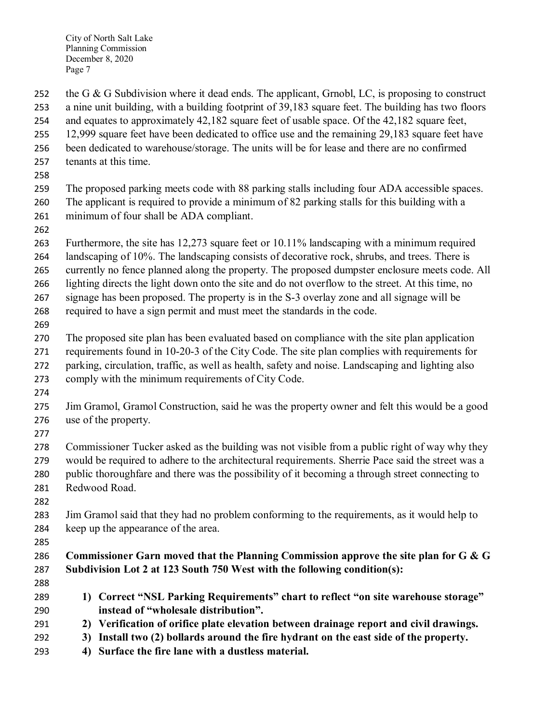the G & G Subdivision where it dead ends. The applicant, Grnobl, LC, is proposing to construct a nine unit building, with a building footprint of 39,183 square feet. The building has two floors

and equates to approximately 42,182 square feet of usable space. Of the 42,182 square feet,

12,999 square feet have been dedicated to office use and the remaining 29,183 square feet have

been dedicated to warehouse/storage. The units will be for lease and there are no confirmed

- tenants at this time.
- 

 The proposed parking meets code with 88 parking stalls including four ADA accessible spaces. The applicant is required to provide a minimum of 82 parking stalls for this building with a minimum of four shall be ADA compliant.

 Furthermore, the site has 12,273 square feet or 10.11% landscaping with a minimum required landscaping of 10%. The landscaping consists of decorative rock, shrubs, and trees. There is

currently no fence planned along the property. The proposed dumpster enclosure meets code. All

lighting directs the light down onto the site and do not overflow to the street. At this time, no

signage has been proposed. The property is in the S-3 overlay zone and all signage will be

required to have a sign permit and must meet the standards in the code.

The proposed site plan has been evaluated based on compliance with the site plan application

 requirements found in 10-20-3 of the City Code. The site plan complies with requirements for parking, circulation, traffic, as well as health, safety and noise. Landscaping and lighting also

comply with the minimum requirements of City Code.

 Jim Gramol, Gramol Construction, said he was the property owner and felt this would be a good use of the property.

 Commissioner Tucker asked as the building was not visible from a public right of way why they would be required to adhere to the architectural requirements. Sherrie Pace said the street was a public thoroughfare and there was the possibility of it becoming a through street connecting to Redwood Road.

 Jim Gramol said that they had no problem conforming to the requirements, as it would help to keep up the appearance of the area.

 **Commissioner Garn moved that the Planning Commission approve the site plan for G & G Subdivision Lot 2 at 123 South 750 West with the following condition(s):**

 **1) Correct "NSL Parking Requirements" chart to reflect "on site warehouse storage" instead of "wholesale distribution".**

**2) Verification of orifice plate elevation between drainage report and civil drawings.**

**3) Install two (2) bollards around the fire hydrant on the east side of the property.**

**4) Surface the fire lane with a dustless material.**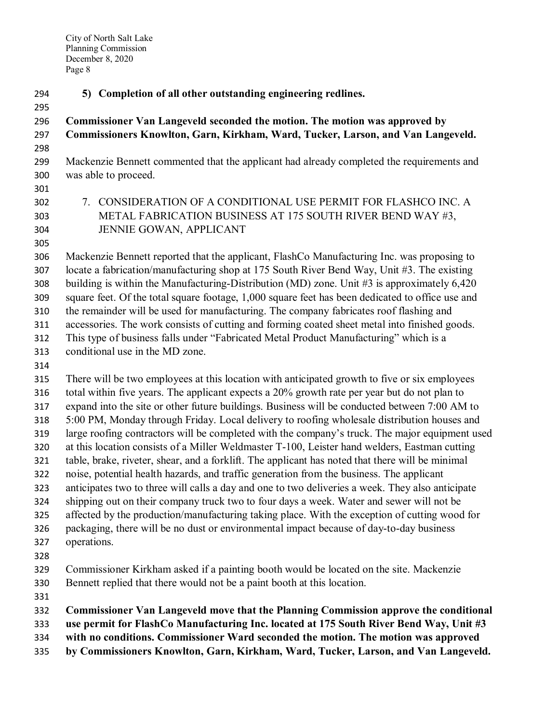**5) Completion of all other outstanding engineering redlines.**

## **Commissioner Van Langeveld seconded the motion. The motion was approved by Commissioners Knowlton, Garn, Kirkham, Ward, Tucker, Larson, and Van Langeveld.**

- Mackenzie Bennett commented that the applicant had already completed the requirements and was able to proceed.
- 
- 
- 7. CONSIDERATION OF A CONDITIONAL USE PERMIT FOR FLASHCO INC. A METAL FABRICATION BUSINESS AT 175 SOUTH RIVER BEND WAY #3, JENNIE GOWAN, APPLICANT
- 

 Mackenzie Bennett reported that the applicant, FlashCo Manufacturing Inc. was proposing to locate a fabrication/manufacturing shop at 175 South River Bend Way, Unit #3. The existing building is within the Manufacturing-Distribution (MD) zone. Unit #3 is approximately 6,420 square feet. Of the total square footage, 1,000 square feet has been dedicated to office use and the remainder will be used for manufacturing. The company fabricates roof flashing and accessories. The work consists of cutting and forming coated sheet metal into finished goods. This type of business falls under "Fabricated Metal Product Manufacturing" which is a conditional use in the MD zone.

 There will be two employees at this location with anticipated growth to five or six employees total within five years. The applicant expects a 20% growth rate per year but do not plan to expand into the site or other future buildings. Business will be conducted between 7:00 AM to 5:00 PM, Monday through Friday. Local delivery to roofing wholesale distribution houses and large roofing contractors will be completed with the company's truck. The major equipment used at this location consists of a Miller Weldmaster T-100, Leister hand welders, Eastman cutting table, brake, riveter, shear, and a forklift. The applicant has noted that there will be minimal noise, potential health hazards, and traffic generation from the business. The applicant anticipates two to three will calls a day and one to two deliveries a week. They also anticipate shipping out on their company truck two to four days a week. Water and sewer will not be affected by the production/manufacturing taking place. With the exception of cutting wood for packaging, there will be no dust or environmental impact because of day-to-day business operations.

- 
- Commissioner Kirkham asked if a painting booth would be located on the site. Mackenzie Bennett replied that there would not be a paint booth at this location.
- 

**Commissioner Van Langeveld move that the Planning Commission approve the conditional** 

- **use permit for FlashCo Manufacturing Inc. located at 175 South River Bend Way, Unit #3**
- **with no conditions. Commissioner Ward seconded the motion. The motion was approved**
- **by Commissioners Knowlton, Garn, Kirkham, Ward, Tucker, Larson, and Van Langeveld.**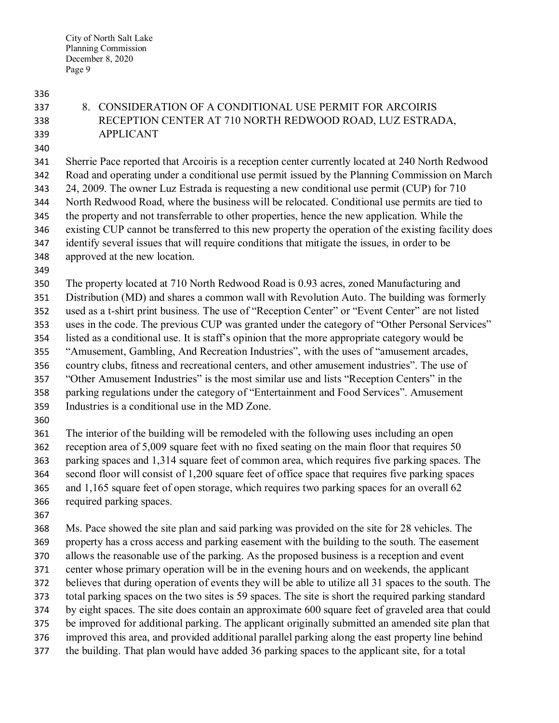- 
- 
- 

## 8. CONSIDERATION OF A CONDITIONAL USE PERMIT FOR ARCOIRIS RECEPTION CENTER AT 710 NORTH REDWOOD ROAD, LUZ ESTRADA, APPLICANT

 Sherrie Pace reported that Arcoiris is a reception center currently located at 240 North Redwood Road and operating under a conditional use permit issued by the Planning Commission on March 24, 2009. The owner Luz Estrada is requesting a new conditional use permit (CUP) for 710 North Redwood Road, where the business will be relocated. Conditional use permits are tied to the property and not transferrable to other properties, hence the new application. While the existing CUP cannot be transferred to this new property the operation of the existing facility does identify several issues that will require conditions that mitigate the issues, in order to be approved at the new location.

 The property located at 710 North Redwood Road is 0.93 acres, zoned Manufacturing and Distribution (MD) and shares a common wall with Revolution Auto. The building was formerly used as a t-shirt print business. The use of "Reception Center" or "Event Center" are not listed uses in the code. The previous CUP was granted under the category of "Other Personal Services" listed as a conditional use. It is staff's opinion that the more appropriate category would be "Amusement, Gambling, And Recreation Industries", with the uses of "amusement arcades, country clubs, fitness and recreational centers, and other amusement industries". The use of

"Other Amusement Industries" is the most similar use and lists "Reception Centers" in the

parking regulations under the category of "Entertainment and Food Services". Amusement

- Industries is a conditional use in the MD Zone.
- 

 The interior of the building will be remodeled with the following uses including an open reception area of 5,009 square feet with no fixed seating on the main floor that requires 50 parking spaces and 1,314 square feet of common area, which requires five parking spaces. The second floor will consist of 1,200 square feet of office space that requires five parking spaces 365 and 1,165 square feet of open storage, which requires two parking spaces for an overall 62 required parking spaces.

 Ms. Pace showed the site plan and said parking was provided on the site for 28 vehicles. The property has a cross access and parking easement with the building to the south. The easement allows the reasonable use of the parking. As the proposed business is a reception and event center whose primary operation will be in the evening hours and on weekends, the applicant believes that during operation of events they will be able to utilize all 31 spaces to the south. The total parking spaces on the two sites is 59 spaces. The site is short the required parking standard by eight spaces. The site does contain an approximate 600 square feet of graveled area that could be improved for additional parking. The applicant originally submitted an amended site plan that improved this area, and provided additional parallel parking along the east property line behind the building. That plan would have added 36 parking spaces to the applicant site, for a total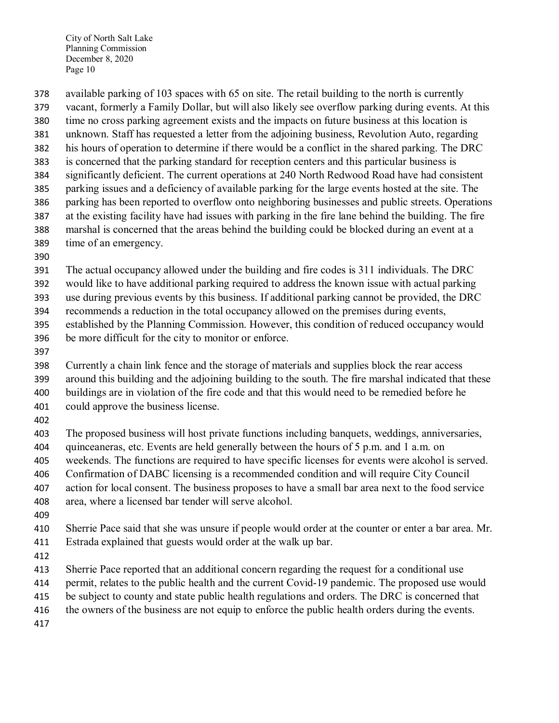available parking of 103 spaces with 65 on site. The retail building to the north is currently vacant, formerly a Family Dollar, but will also likely see overflow parking during events. At this time no cross parking agreement exists and the impacts on future business at this location is unknown. Staff has requested a letter from the adjoining business, Revolution Auto, regarding his hours of operation to determine if there would be a conflict in the shared parking. The DRC is concerned that the parking standard for reception centers and this particular business is significantly deficient. The current operations at 240 North Redwood Road have had consistent parking issues and a deficiency of available parking for the large events hosted at the site. The parking has been reported to overflow onto neighboring businesses and public streets. Operations at the existing facility have had issues with parking in the fire lane behind the building. The fire marshal is concerned that the areas behind the building could be blocked during an event at a time of an emergency.

The actual occupancy allowed under the building and fire codes is 311 individuals. The DRC

would like to have additional parking required to address the known issue with actual parking

use during previous events by this business. If additional parking cannot be provided, the DRC

recommends a reduction in the total occupancy allowed on the premises during events,

established by the Planning Commission. However, this condition of reduced occupancy would

- be more difficult for the city to monitor or enforce.
- 

 Currently a chain link fence and the storage of materials and supplies block the rear access around this building and the adjoining building to the south. The fire marshal indicated that these buildings are in violation of the fire code and that this would need to be remedied before he could approve the business license.

 The proposed business will host private functions including banquets, weddings, anniversaries, quinceaneras, etc. Events are held generally between the hours of 5 p.m. and 1 a.m. on

weekends. The functions are required to have specific licenses for events were alcohol is served.

Confirmation of DABC licensing is a recommended condition and will require City Council

action for local consent. The business proposes to have a small bar area next to the food service

- area, where a licensed bar tender will serve alcohol.
- 

 Sherrie Pace said that she was unsure if people would order at the counter or enter a bar area. Mr. Estrada explained that guests would order at the walk up bar.

Sherrie Pace reported that an additional concern regarding the request for a conditional use

permit, relates to the public health and the current Covid-19 pandemic. The proposed use would

415 be subject to county and state public health regulations and orders. The DRC is concerned that

416 the owners of the business are not equip to enforce the public health orders during the events.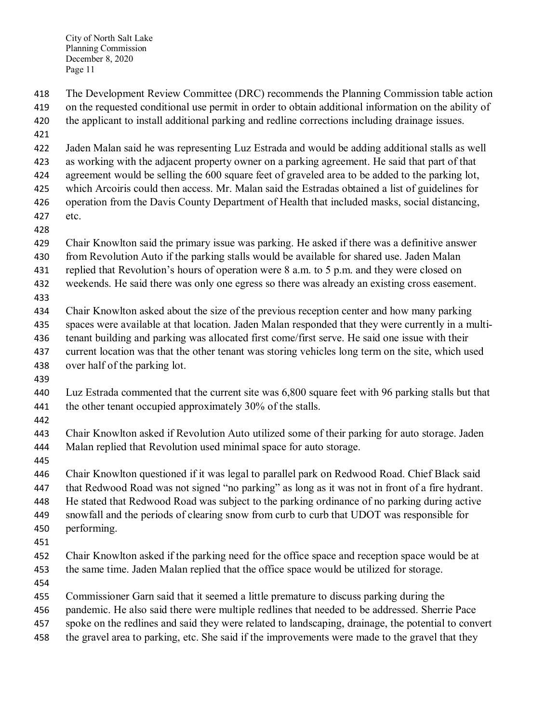The Development Review Committee (DRC) recommends the Planning Commission table action on the requested conditional use permit in order to obtain additional information on the ability of

- 420 the applicant to install additional parking and redline corrections including drainage issues.
- 

Jaden Malan said he was representing Luz Estrada and would be adding additional stalls as well

as working with the adjacent property owner on a parking agreement. He said that part of that

 agreement would be selling the 600 square feet of graveled area to be added to the parking lot, which Arcoiris could then access. Mr. Malan said the Estradas obtained a list of guidelines for

operation from the Davis County Department of Health that included masks, social distancing,

- etc.
- 

Chair Knowlton said the primary issue was parking. He asked if there was a definitive answer

- from Revolution Auto if the parking stalls would be available for shared use. Jaden Malan
- 431 replied that Revolution's hours of operation were 8 a.m. to 5 p.m. and they were closed on
- weekends. He said there was only one egress so there was already an existing cross easement.
- 

Chair Knowlton asked about the size of the previous reception center and how many parking

 spaces were available at that location. Jaden Malan responded that they were currently in a multi-tenant building and parking was allocated first come/first serve. He said one issue with their

- current location was that the other tenant was storing vehicles long term on the site, which used
- 
- over half of the parking lot.
- 
- Luz Estrada commented that the current site was 6,800 square feet with 96 parking stalls but that 441 the other tenant occupied approximately 30% of the stalls.
- 

 Chair Knowlton asked if Revolution Auto utilized some of their parking for auto storage. Jaden Malan replied that Revolution used minimal space for auto storage.

 Chair Knowlton questioned if it was legal to parallel park on Redwood Road. Chief Black said that Redwood Road was not signed "no parking" as long as it was not in front of a fire hydrant. He stated that Redwood Road was subject to the parking ordinance of no parking during active snowfall and the periods of clearing snow from curb to curb that UDOT was responsible for performing.

Chair Knowlton asked if the parking need for the office space and reception space would be at

- the same time. Jaden Malan replied that the office space would be utilized for storage.
- 

Commissioner Garn said that it seemed a little premature to discuss parking during the

pandemic. He also said there were multiple redlines that needed to be addressed. Sherrie Pace

- spoke on the redlines and said they were related to landscaping, drainage, the potential to convert
- the gravel area to parking, etc. She said if the improvements were made to the gravel that they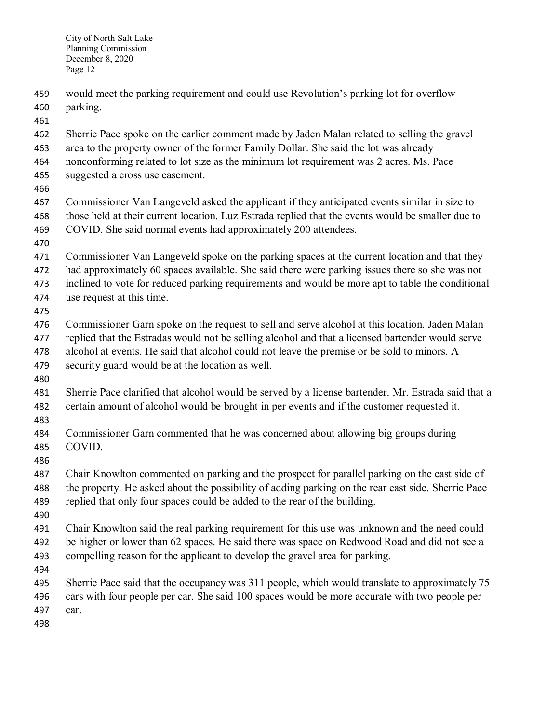- would meet the parking requirement and could use Revolution's parking lot for overflow
- parking.

- Sherrie Pace spoke on the earlier comment made by Jaden Malan related to selling the gravel
- area to the property owner of the former Family Dollar. She said the lot was already
- nonconforming related to lot size as the minimum lot requirement was 2 acres. Ms. Pace
- suggested a cross use easement.
- 
- Commissioner Van Langeveld asked the applicant if they anticipated events similar in size to those held at their current location. Luz Estrada replied that the events would be smaller due to COVID. She said normal events had approximately 200 attendees.
- 
- Commissioner Van Langeveld spoke on the parking spaces at the current location and that they
- had approximately 60 spaces available. She said there were parking issues there so she was not
- inclined to vote for reduced parking requirements and would be more apt to table the conditional
- use request at this time.
- 
- Commissioner Garn spoke on the request to sell and serve alcohol at this location. Jaden Malan replied that the Estradas would not be selling alcohol and that a licensed bartender would serve
- alcohol at events. He said that alcohol could not leave the premise or be sold to minors. A
- security guard would be at the location as well.
- 
- Sherrie Pace clarified that alcohol would be served by a license bartender. Mr. Estrada said that a certain amount of alcohol would be brought in per events and if the customer requested it.
- 
- Commissioner Garn commented that he was concerned about allowing big groups during COVID.
- 
- Chair Knowlton commented on parking and the prospect for parallel parking on the east side of the property. He asked about the possibility of adding parking on the rear east side. Sherrie Pace replied that only four spaces could be added to the rear of the building.
- 
- Chair Knowlton said the real parking requirement for this use was unknown and the need could be higher or lower than 62 spaces. He said there was space on Redwood Road and did not see a compelling reason for the applicant to develop the gravel area for parking.
- 
- Sherrie Pace said that the occupancy was 311 people, which would translate to approximately 75 cars with four people per car. She said 100 spaces would be more accurate with two people per
- car.
-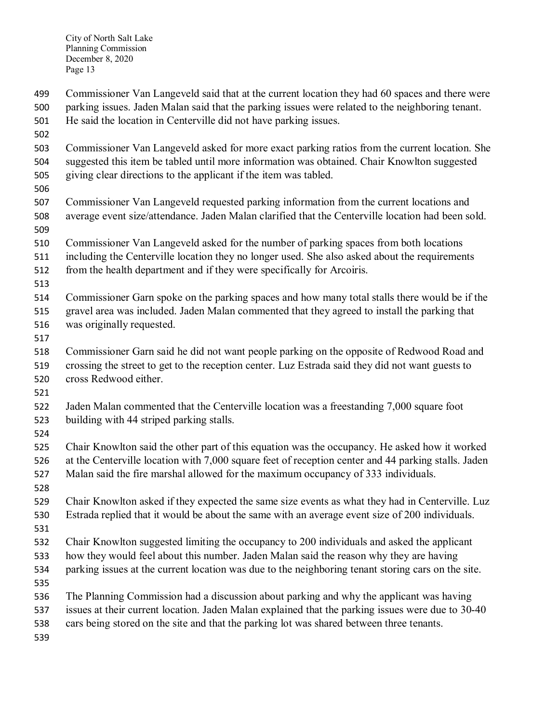Commissioner Van Langeveld said that at the current location they had 60 spaces and there were parking issues. Jaden Malan said that the parking issues were related to the neighboring tenant.

- He said the location in Centerville did not have parking issues.
- 
- Commissioner Van Langeveld asked for more exact parking ratios from the current location. She suggested this item be tabled until more information was obtained. Chair Knowlton suggested giving clear directions to the applicant if the item was tabled.
- 
- Commissioner Van Langeveld requested parking information from the current locations and average event size/attendance. Jaden Malan clarified that the Centerville location had been sold.
- Commissioner Van Langeveld asked for the number of parking spaces from both locations
- including the Centerville location they no longer used. She also asked about the requirements
- 512 from the health department and if they were specifically for Arcoiris.
- 
- Commissioner Garn spoke on the parking spaces and how many total stalls there would be if the
- gravel area was included. Jaden Malan commented that they agreed to install the parking that
- was originally requested.
- 
- Commissioner Garn said he did not want people parking on the opposite of Redwood Road and crossing the street to get to the reception center. Luz Estrada said they did not want guests to
- cross Redwood either.
- 
- Jaden Malan commented that the Centerville location was a freestanding 7,000 square foot building with 44 striped parking stalls.
- 
- Chair Knowlton said the other part of this equation was the occupancy. He asked how it worked at the Centerville location with 7,000 square feet of reception center and 44 parking stalls. Jaden Malan said the fire marshal allowed for the maximum occupancy of 333 individuals.
- 
- Chair Knowlton asked if they expected the same size events as what they had in Centerville. Luz Estrada replied that it would be about the same with an average event size of 200 individuals.
- 
- Chair Knowlton suggested limiting the occupancy to 200 individuals and asked the applicant
- how they would feel about this number. Jaden Malan said the reason why they are having
- parking issues at the current location was due to the neighboring tenant storing cars on the site.
- The Planning Commission had a discussion about parking and why the applicant was having
- issues at their current location. Jaden Malan explained that the parking issues were due to 30-40
- cars being stored on the site and that the parking lot was shared between three tenants.
-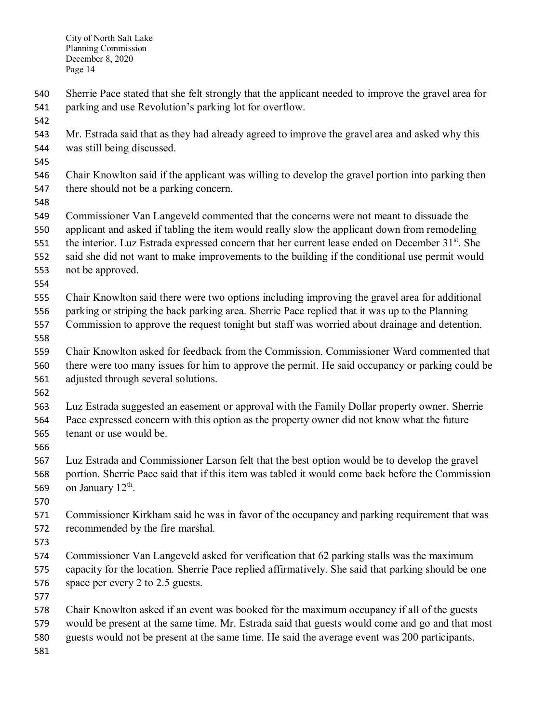- Sherrie Pace stated that she felt strongly that the applicant needed to improve the gravel area for parking and use Revolution's parking lot for overflow.
- 
- Mr. Estrada said that as they had already agreed to improve the gravel area and asked why this was still being discussed.
- 
- Chair Knowlton said if the applicant was willing to develop the gravel portion into parking then there should not be a parking concern.
- 

 Commissioner Van Langeveld commented that the concerns were not meant to dissuade the applicant and asked if tabling the item would really slow the applicant down from remodeling

- the interior. Luz Estrada expressed concern that her current lease ended on December  $31<sup>st</sup>$ . She
- said she did not want to make improvements to the building if the conditional use permit would not be approved.
- 

Chair Knowlton said there were two options including improving the gravel area for additional

- parking or striping the back parking area. Sherrie Pace replied that it was up to the Planning
- Commission to approve the request tonight but staff was worried about drainage and detention.
- Chair Knowlton asked for feedback from the Commission. Commissioner Ward commented that there were too many issues for him to approve the permit. He said occupancy or parking could be adjusted through several solutions.
- 
- Luz Estrada suggested an easement or approval with the Family Dollar property owner. Sherrie Pace expressed concern with this option as the property owner did not know what the future tenant or use would be.
- 

 Luz Estrada and Commissioner Larson felt that the best option would be to develop the gravel portion. Sherrie Pace said that if this item was tabled it would come back before the Commission 569 on January  $12<sup>th</sup>$ .

 Commissioner Kirkham said he was in favor of the occupancy and parking requirement that was recommended by the fire marshal.

 Commissioner Van Langeveld asked for verification that 62 parking stalls was the maximum capacity for the location. Sherrie Pace replied affirmatively. She said that parking should be one space per every 2 to 2.5 guests.

- 
- Chair Knowlton asked if an event was booked for the maximum occupancy if all of the guests would be present at the same time. Mr. Estrada said that guests would come and go and that most
- guests would not be present at the same time. He said the average event was 200 participants.
-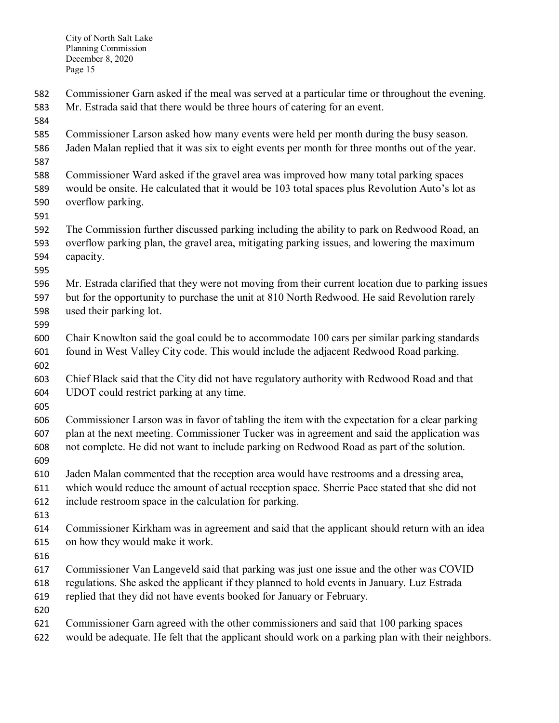- Commissioner Garn asked if the meal was served at a particular time or throughout the evening.
- Mr. Estrada said that there would be three hours of catering for an event.
- 
- Commissioner Larson asked how many events were held per month during the busy season. Jaden Malan replied that it was six to eight events per month for three months out of the year.
- 
- Commissioner Ward asked if the gravel area was improved how many total parking spaces would be onsite. He calculated that it would be 103 total spaces plus Revolution Auto's lot as overflow parking.
- 
- The Commission further discussed parking including the ability to park on Redwood Road, an overflow parking plan, the gravel area, mitigating parking issues, and lowering the maximum capacity.
- 
- Mr. Estrada clarified that they were not moving from their current location due to parking issues but for the opportunity to purchase the unit at 810 North Redwood. He said Revolution rarely used their parking lot.
- 
- Chair Knowlton said the goal could be to accommodate 100 cars per similar parking standards found in West Valley City code. This would include the adjacent Redwood Road parking.
- Chief Black said that the City did not have regulatory authority with Redwood Road and that UDOT could restrict parking at any time.
- 
- Commissioner Larson was in favor of tabling the item with the expectation for a clear parking plan at the next meeting. Commissioner Tucker was in agreement and said the application was not complete. He did not want to include parking on Redwood Road as part of the solution.
- 
- Jaden Malan commented that the reception area would have restrooms and a dressing area,
- which would reduce the amount of actual reception space. Sherrie Pace stated that she did not
- include restroom space in the calculation for parking.
- 
- Commissioner Kirkham was in agreement and said that the applicant should return with an idea on how they would make it work.
- 
- Commissioner Van Langeveld said that parking was just one issue and the other was COVID
- regulations. She asked the applicant if they planned to hold events in January. Luz Estrada
- replied that they did not have events booked for January or February.
- 
- Commissioner Garn agreed with the other commissioners and said that 100 parking spaces
- would be adequate. He felt that the applicant should work on a parking plan with their neighbors.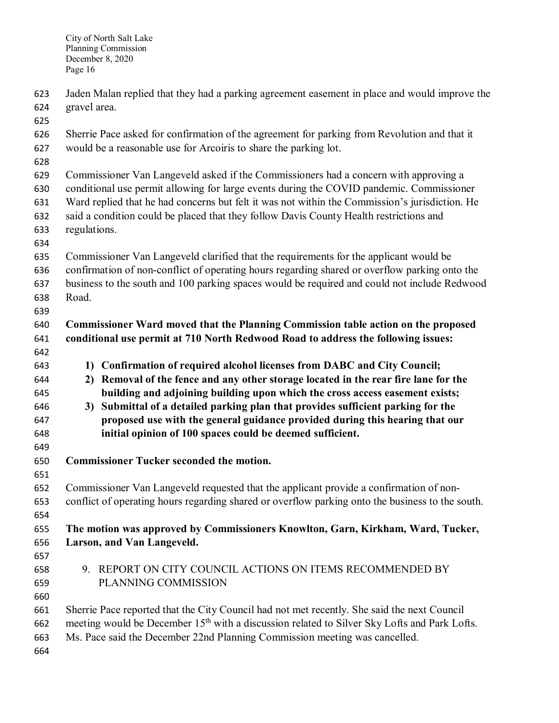Jaden Malan replied that they had a parking agreement easement in place and would improve the gravel area.

 Sherrie Pace asked for confirmation of the agreement for parking from Revolution and that it would be a reasonable use for Arcoiris to share the parking lot.

Commissioner Van Langeveld asked if the Commissioners had a concern with approving a

conditional use permit allowing for large events during the COVID pandemic. Commissioner

Ward replied that he had concerns but felt it was not within the Commission's jurisdiction. He

said a condition could be placed that they follow Davis County Health restrictions and

 regulations. 

Commissioner Van Langeveld clarified that the requirements for the applicant would be

confirmation of non-conflict of operating hours regarding shared or overflow parking onto the

business to the south and 100 parking spaces would be required and could not include Redwood

Road.

 **Commissioner Ward moved that the Planning Commission table action on the proposed conditional use permit at 710 North Redwood Road to address the following issues:** 

**1) Confirmation of required alcohol licenses from DABC and City Council;**

 **2) Removal of the fence and any other storage located in the rear fire lane for the building and adjoining building upon which the cross access easement exists;**

 **3) Submittal of a detailed parking plan that provides sufficient parking for the proposed use with the general guidance provided during this hearing that our initial opinion of 100 spaces could be deemed sufficient.**

**Commissioner Tucker seconded the motion.** 

 Commissioner Van Langeveld requested that the applicant provide a confirmation of non- conflict of operating hours regarding shared or overflow parking onto the business to the south. 

## **The motion was approved by Commissioners Knowlton, Garn, Kirkham, Ward, Tucker, Larson, and Van Langeveld.**

- 
- 

 9. REPORT ON CITY COUNCIL ACTIONS ON ITEMS RECOMMENDED BY PLANNING COMMISSION

 Sherrie Pace reported that the City Council had not met recently. She said the next Council 662 meeting would be December  $15<sup>th</sup>$  with a discussion related to Silver Sky Lofts and Park Lofts.

Ms. Pace said the December 22nd Planning Commission meeting was cancelled.